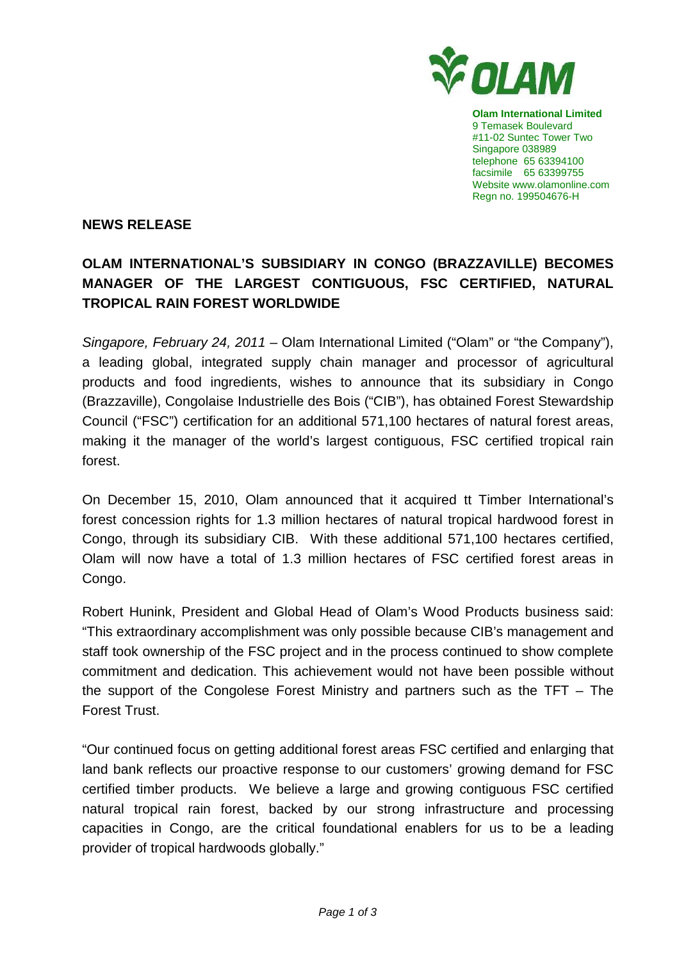

**Olam International Limited**  9 Temasek Boulevard #11-02 Suntec Tower Two Singapore 038989 telephone 65 63394100 facsimile 65 63399755 Website www.olamonline.com Regn no. 199504676-H

## **NEWS RELEASE**

## **OLAM INTERNATIONAL'S SUBSIDIARY IN CONGO (BRAZZAVILLE) BECOMES MANAGER OF THE LARGEST CONTIGUOUS, FSC CERTIFIED, NATURAL TROPICAL RAIN FOREST WORLDWIDE**

Singapore, February 24, 2011 – Olam International Limited ("Olam" or "the Company"), a leading global, integrated supply chain manager and processor of agricultural products and food ingredients, wishes to announce that its subsidiary in Congo (Brazzaville), Congolaise Industrielle des Bois ("CIB"), has obtained Forest Stewardship Council ("FSC") certification for an additional 571,100 hectares of natural forest areas, making it the manager of the world's largest contiguous, FSC certified tropical rain forest.

On December 15, 2010, Olam announced that it acquired tt Timber International's forest concession rights for 1.3 million hectares of natural tropical hardwood forest in Congo, through its subsidiary CIB. With these additional 571,100 hectares certified, Olam will now have a total of 1.3 million hectares of FSC certified forest areas in Congo.

Robert Hunink, President and Global Head of Olam's Wood Products business said: "This extraordinary accomplishment was only possible because CIB's management and staff took ownership of the FSC project and in the process continued to show complete commitment and dedication. This achievement would not have been possible without the support of the Congolese Forest Ministry and partners such as the TFT – The Forest Trust.

"Our continued focus on getting additional forest areas FSC certified and enlarging that land bank reflects our proactive response to our customers' growing demand for FSC certified timber products. We believe a large and growing contiguous FSC certified natural tropical rain forest, backed by our strong infrastructure and processing capacities in Congo, are the critical foundational enablers for us to be a leading provider of tropical hardwoods globally."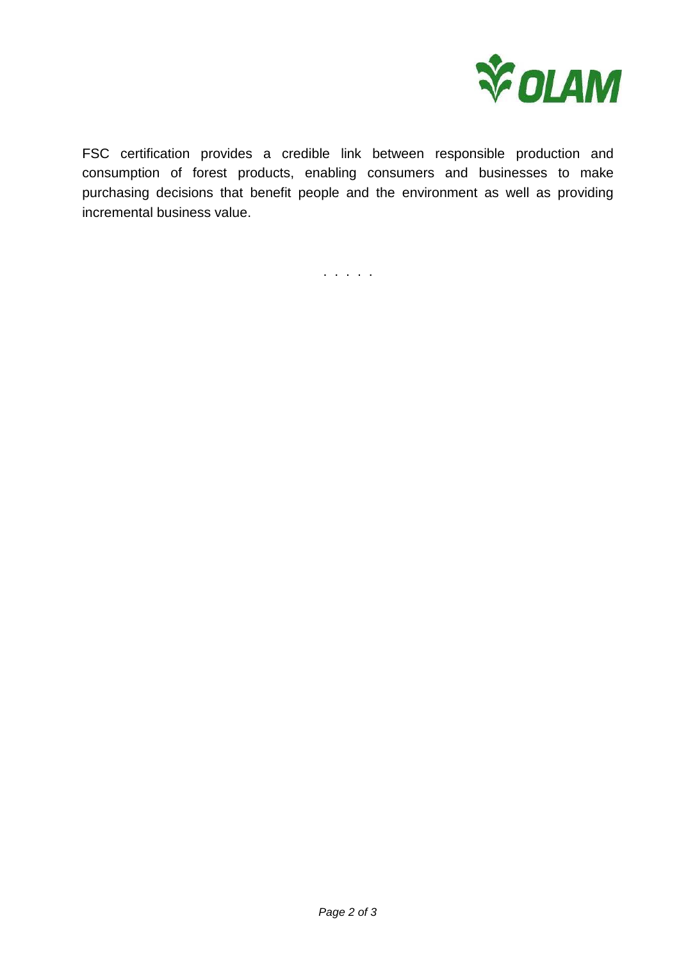

FSC certification provides a credible link between responsible production and consumption of forest products, enabling consumers and businesses to make purchasing decisions that benefit people and the environment as well as providing incremental business value.

. . . . .